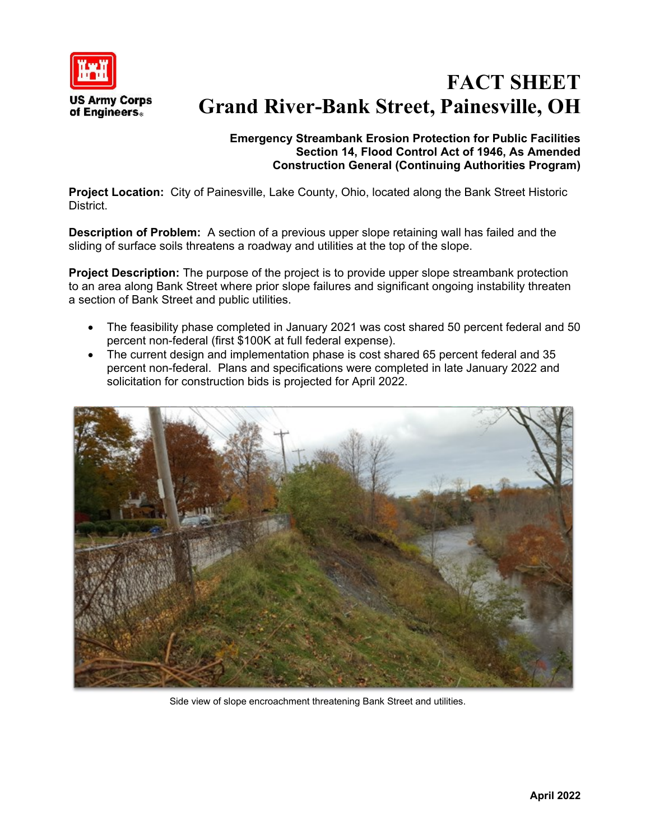

# **FACT SHEET Grand River-Bank Street, Painesville, OH**

## **Emergency Streambank Erosion Protection for Public Facilities Section 14, Flood Control Act of 1946, As Amended Construction General (Continuing Authorities Program)**

**Project Location:** City of Painesville, Lake County, Ohio, located along the Bank Street Historic District.

**Description of Problem:** A section of a previous upper slope retaining wall has failed and the sliding of surface soils threatens a roadway and utilities at the top of the slope.

**Project Description:** The purpose of the project is to provide upper slope streambank protection to an area along Bank Street where prior slope failures and significant ongoing instability threaten a section of Bank Street and public utilities.

- The feasibility phase completed in January 2021 was cost shared 50 percent federal and 50 percent non-federal (first \$100K at full federal expense).
- The current design and implementation phase is cost shared 65 percent federal and 35 percent non-federal. Plans and specifications were completed in late January 2022 and solicitation for construction bids is projected for April 2022.



Side view of slope encroachment threatening Bank Street and utilities.